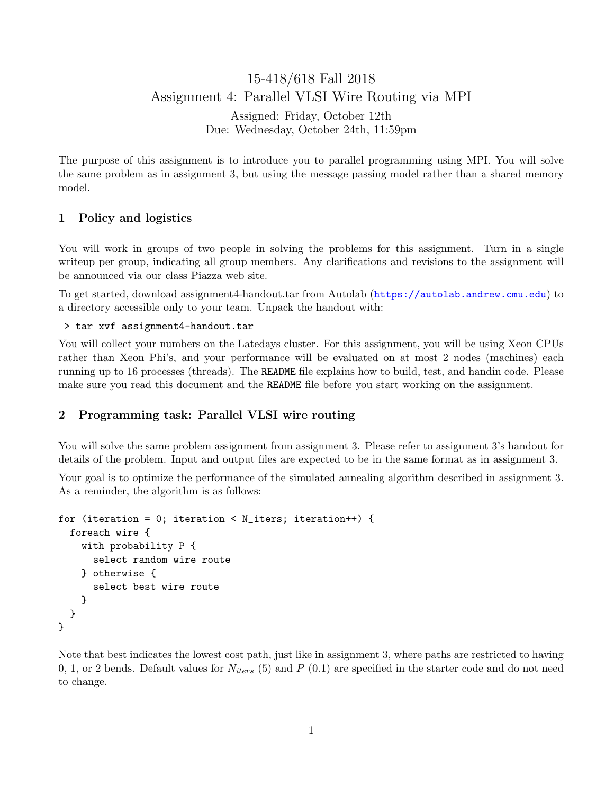# 15-418/618 Fall 2018 Assignment 4: Parallel VLSI Wire Routing via MPI

Assigned: Friday, October 12th Due: Wednesday, October 24th, 11:59pm

The purpose of this assignment is to introduce you to parallel programming using MPI. You will solve the same problem as in assignment 3, but using the message passing model rather than a shared memory model.

## 1 Policy and logistics

You will work in groups of two people in solving the problems for this assignment. Turn in a single writeup per group, indicating all group members. Any clarifications and revisions to the assignment will be announced via our class Piazza web site.

To get started, download assignment4-handout.tar from Autolab (<https://autolab.andrew.cmu.edu>) to a directory accessible only to your team. Unpack the handout with:

> tar xvf assignment4-handout.tar

You will collect your numbers on the Latedays cluster. For this assignment, you will be using Xeon CPUs rather than Xeon Phi's, and your performance will be evaluated on at most 2 nodes (machines) each running up to 16 processes (threads). The README file explains how to build, test, and handin code. Please make sure you read this document and the README file before you start working on the assignment.

## 2 Programming task: Parallel VLSI wire routing

You will solve the same problem assignment from assignment 3. Please refer to assignment 3's handout for details of the problem. Input and output files are expected to be in the same format as in assignment 3.

Your goal is to optimize the performance of the simulated annealing algorithm described in assignment 3. As a reminder, the algorithm is as follows:

```
for (iteration = 0; iteration < N_iters; iteration++) {
  foreach wire {
    with probability P {
      select random wire route
    } otherwise {
      select best wire route
    }
  }
}
```
Note that best indicates the lowest cost path, just like in assignment 3, where paths are restricted to having 0, 1, or 2 bends. Default values for  $N_{iters}$  (5) and P (0.1) are specified in the starter code and do not need to change.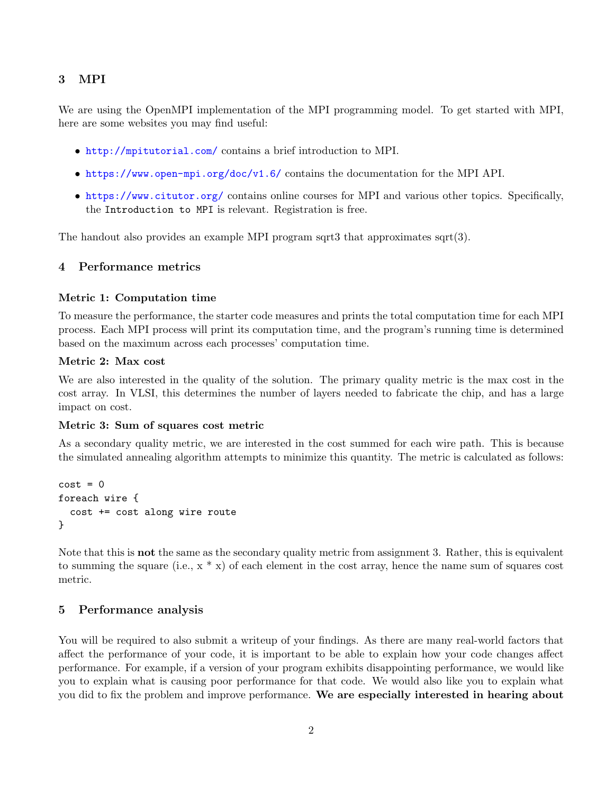# 3 MPI

We are using the OpenMPI implementation of the MPI programming model. To get started with MPI, here are some websites you may find useful:

- <http://mpitutorial.com/> contains a brief introduction to MPI.
- <https://www.open-mpi.org/doc/v1.6/> contains the documentation for the MPI API.
- <https://www.citutor.org/> contains online courses for MPI and various other topics. Specifically, the Introduction to MPI is relevant. Registration is free.

The handout also provides an example MPI program sqrt3 that approximates sqrt(3).

## 4 Performance metrics

#### Metric 1: Computation time

To measure the performance, the starter code measures and prints the total computation time for each MPI process. Each MPI process will print its computation time, and the program's running time is determined based on the maximum across each processes' computation time.

#### Metric 2: Max cost

We are also interested in the quality of the solution. The primary quality metric is the max cost in the cost array. In VLSI, this determines the number of layers needed to fabricate the chip, and has a large impact on cost.

#### Metric 3: Sum of squares cost metric

As a secondary quality metric, we are interested in the cost summed for each wire path. This is because the simulated annealing algorithm attempts to minimize this quantity. The metric is calculated as follows:

```
cost = 0foreach wire {
  cost += cost along wire route
}
```
Note that this is **not** the same as the secondary quality metric from assignment 3. Rather, this is equivalent to summing the square (i.e.,  $x * x$ ) of each element in the cost array, hence the name sum of squares cost metric.

## 5 Performance analysis

You will be required to also submit a writeup of your findings. As there are many real-world factors that affect the performance of your code, it is important to be able to explain how your code changes affect performance. For example, if a version of your program exhibits disappointing performance, we would like you to explain what is causing poor performance for that code. We would also like you to explain what you did to fix the problem and improve performance. We are especially interested in hearing about